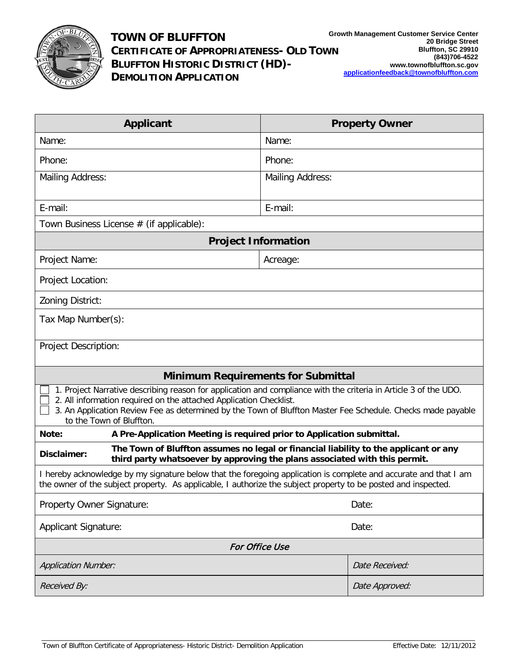

| <b>Applicant</b>                                                                                                                                                                                                                                                                                                                  | <b>Property Owner</b>   |  |
|-----------------------------------------------------------------------------------------------------------------------------------------------------------------------------------------------------------------------------------------------------------------------------------------------------------------------------------|-------------------------|--|
| Name:                                                                                                                                                                                                                                                                                                                             | Name:                   |  |
| Phone:                                                                                                                                                                                                                                                                                                                            | Phone:                  |  |
| <b>Mailing Address:</b>                                                                                                                                                                                                                                                                                                           | <b>Mailing Address:</b> |  |
| E-mail:                                                                                                                                                                                                                                                                                                                           | E-mail:                 |  |
| Town Business License # (if applicable):                                                                                                                                                                                                                                                                                          |                         |  |
| <b>Project Information</b>                                                                                                                                                                                                                                                                                                        |                         |  |
| Project Name:                                                                                                                                                                                                                                                                                                                     | Acreage:                |  |
| Project Location:                                                                                                                                                                                                                                                                                                                 |                         |  |
| Zoning District:                                                                                                                                                                                                                                                                                                                  |                         |  |
| Tax Map Number(s):                                                                                                                                                                                                                                                                                                                |                         |  |
| <b>Project Description:</b>                                                                                                                                                                                                                                                                                                       |                         |  |
| <b>Minimum Requirements for Submittal</b>                                                                                                                                                                                                                                                                                         |                         |  |
| 1. Project Narrative describing reason for application and compliance with the criteria in Article 3 of the UDO.<br>2. All information required on the attached Application Checklist.<br>3. An Application Review Fee as determined by the Town of Bluffton Master Fee Schedule. Checks made payable<br>to the Town of Bluffton. |                         |  |
| A Pre-Application Meeting is required prior to Application submittal.<br>Note:                                                                                                                                                                                                                                                    |                         |  |
| The Town of Bluffton assumes no legal or financial liability to the applicant or any<br>Disclaimer:<br>third party whatsoever by approving the plans associated with this permit.                                                                                                                                                 |                         |  |
| I hereby acknowledge by my signature below that the foregoing application is complete and accurate and that I am<br>the owner of the subject property. As applicable, I authorize the subject property to be posted and inspected.                                                                                                |                         |  |
| Property Owner Signature:                                                                                                                                                                                                                                                                                                         | Date:                   |  |
| <b>Applicant Signature:</b>                                                                                                                                                                                                                                                                                                       | Date:                   |  |
| <b>For Office Use</b>                                                                                                                                                                                                                                                                                                             |                         |  |
| <b>Application Number:</b>                                                                                                                                                                                                                                                                                                        | Date Received:          |  |
| Received By:                                                                                                                                                                                                                                                                                                                      | Date Approved:          |  |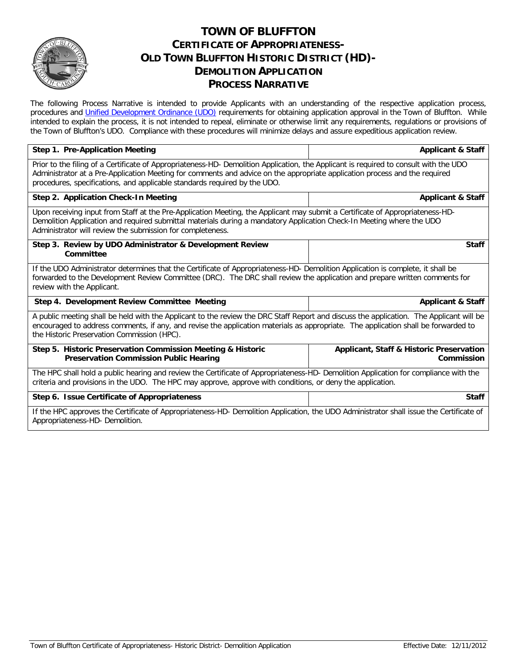

## **TOWN OF BLUFFTON CERTIFICATE OF APPROPRIATENESS-OLD TOWN BLUFFTON HISTORIC DISTRICT (HD)- DEMOLITION APPLICATION PROCESS NARRATIVE**

The following Process Narrative is intended to provide Applicants with an understanding of the respective application process, procedures and *Unified Development Ordinance (UDO)* requirements for obtaining application approval in the Town of Bluffton. While intended to explain the process, it is not intended to repeal, eliminate or otherwise limit any requirements, regulations or provisions of the Town of Bluffton's UDO. Compliance with these procedures will minimize delays and assure expeditious application review.

| Step 1. Pre-Application Meeting                                                                                                                                                                                                                                                                                                                  | <b>Applicant &amp; Staff</b>                                      |  |
|--------------------------------------------------------------------------------------------------------------------------------------------------------------------------------------------------------------------------------------------------------------------------------------------------------------------------------------------------|-------------------------------------------------------------------|--|
| Prior to the filing of a Certificate of Appropriateness-HD- Demolition Application, the Applicant is required to consult with the UDO<br>Administrator at a Pre-Application Meeting for comments and advice on the appropriate application process and the required<br>procedures, specifications, and applicable standards required by the UDO. |                                                                   |  |
| Step 2. Application Check-In Meeting                                                                                                                                                                                                                                                                                                             | <b>Applicant &amp; Staff</b>                                      |  |
| Upon receiving input from Staff at the Pre-Application Meeting, the Applicant may submit a Certificate of Appropriateness-HD-<br>Demolition Application and required submittal materials during a mandatory Application Check-In Meeting where the UDO<br>Administrator will review the submission for completeness.                             |                                                                   |  |
| Step 3. Review by UDO Administrator & Development Review<br>Committee                                                                                                                                                                                                                                                                            | <b>Staff</b>                                                      |  |
| If the UDO Administrator determines that the Certificate of Appropriateness-HD- Demolition Application is complete, it shall be<br>forwarded to the Development Review Committee (DRC). The DRC shall review the application and prepare written comments for<br>review with the Applicant.                                                      |                                                                   |  |
| Step 4. Development Review Committee Meeting                                                                                                                                                                                                                                                                                                     | <b>Applicant &amp; Staff</b>                                      |  |
| A public meeting shall be held with the Applicant to the review the DRC Staff Report and discuss the application. The Applicant will be<br>encouraged to address comments, if any, and revise the application materials as appropriate. The application shall be forwarded to<br>the Historic Preservation Commission (HPC).                     |                                                                   |  |
| Step 5. Historic Preservation Commission Meeting & Historic<br><b>Preservation Commission Public Hearing</b>                                                                                                                                                                                                                                     | <b>Applicant, Staff &amp; Historic Preservation</b><br>Commission |  |
| The HPC shall hold a public hearing and review the Certificate of Appropriateness-HD- Demolition Application for compliance with the<br>criteria and provisions in the UDO. The HPC may approve, approve with conditions, or deny the application.                                                                                               |                                                                   |  |
| Step 6. Issue Certificate of Appropriateness                                                                                                                                                                                                                                                                                                     | <b>Staff</b>                                                      |  |
| If the HPC approves the Certificate of Appropriateness-HD- Demolition Application, the UDO Administrator shall issue the Certificate of<br>Appropriateness-HD-Demolition.                                                                                                                                                                        |                                                                   |  |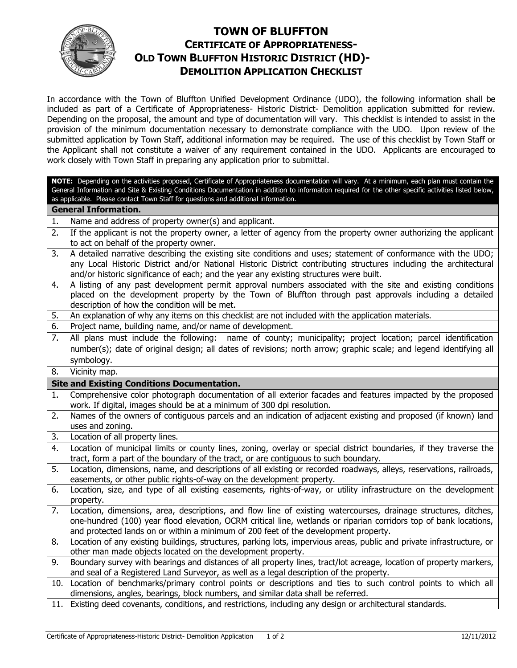

# **TOWN OF BLUFFTON CERTIFICATE OF APPROPRIATENESS- OLD TOWN BLUFFTON HISTORIC DISTRICT (HD)- DEMOLITION APPLICATION CHECKLIST**

In accordance with the Town of Bluffton Unified Development Ordinance (UDO), the following information shall be included as part of a Certificate of Appropriateness- Historic District- Demolition application submitted for review. Depending on the proposal, the amount and type of documentation will vary. This checklist is intended to assist in the provision of the minimum documentation necessary to demonstrate compliance with the UDO. Upon review of the submitted application by Town Staff, additional information may be required. The use of this checklist by Town Staff or the Applicant shall not constitute a waiver of any requirement contained in the UDO. Applicants are encouraged to work closely with Town Staff in preparing any application prior to submittal.

**NOTE:** Depending on the activities proposed, Certificate of Appropriateness documentation will vary. At a minimum, each plan must contain the General Information and Site & Existing Conditions Documentation in addition to information required for the other specific activities listed below, as applicable. Please contact Town Staff for questions and additional information.

### **General Information.**

1. Name and address of property owner(s) and applicant.

- 2. If the applicant is not the property owner, a letter of agency from the property owner authorizing the applicant to act on behalf of the property owner.
- 3. A detailed narrative describing the existing site conditions and uses; statement of conformance with the UDO; any Local Historic District and/or National Historic District contributing structures including the architectural and/or historic significance of each; and the year any existing structures were built.
- 4. A listing of any past development permit approval numbers associated with the site and existing conditions placed on the development property by the Town of Bluffton through past approvals including a detailed description of how the condition will be met.
- 5. An explanation of why any items on this checklist are not included with the application materials.
- 6. Project name, building name, and/or name of development.
- 7. All plans must include the following: name of county; municipality; project location; parcel identification number(s); date of original design; all dates of revisions; north arrow; graphic scale; and legend identifying all symbology.
- 8. Vicinity map.

## **Site and Existing Conditions Documentation.**

- 1. Comprehensive color photograph documentation of all exterior facades and features impacted by the proposed work. If digital, images should be at a minimum of 300 dpi resolution.
- 2. Names of the owners of contiguous parcels and an indication of adjacent existing and proposed (if known) land uses and zoning.
- 3. Location of all property lines.
- 4. Location of municipal limits or county lines, zoning, overlay or special district boundaries, if they traverse the tract, form a part of the boundary of the tract, or are contiguous to such boundary.
- 5. Location, dimensions, name, and descriptions of all existing or recorded roadways, alleys, reservations, railroads, easements, or other public rights-of-way on the development property.
- 6. Location, size, and type of all existing easements, rights-of-way, or utility infrastructure on the development property.
- 7. Location, dimensions, area, descriptions, and flow line of existing watercourses, drainage structures, ditches, one-hundred (100) year flood elevation, OCRM critical line, wetlands or riparian corridors top of bank locations, and protected lands on or within a minimum of 200 feet of the development property.
- 8. Location of any existing buildings, structures, parking lots, impervious areas, public and private infrastructure, or other man made objects located on the development property.
- 9. Boundary survey with bearings and distances of all property lines, tract/lot acreage, location of property markers, and seal of a Registered Land Surveyor, as well as a legal description of the property.
- 10. Location of benchmarks/primary control points or descriptions and ties to such control points to which all dimensions, angles, bearings, block numbers, and similar data shall be referred.
- 11. Existing deed covenants, conditions, and restrictions, including any design or architectural standards.